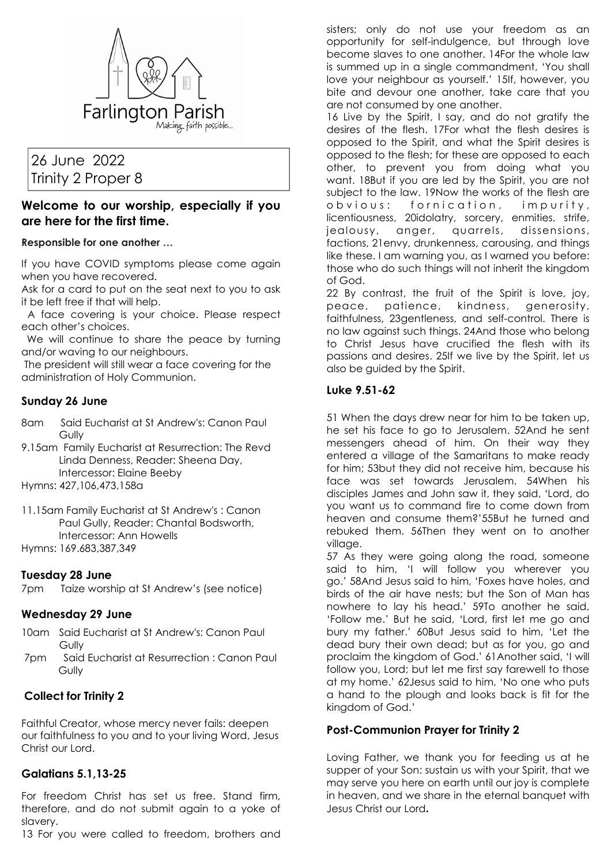

# 26 June 2022 Trinity 2 Proper 8

# **Welcome to our worship, especially if you are here for the first time.**

#### **Responsible for one another …**

If you have COVID symptoms please come again when you have recovered.

Ask for a card to put on the seat next to you to ask it be left free if that will help.

 A face covering is your choice. Please respect each other's choices.

 We will continue to share the peace by turning and/or waving to our neighbours.

 The president will still wear a face covering for the administration of Holy Communion.

# **Sunday 26 June**

- 8am Said Eucharist at St Andrew's: Canon Paul **Gully**
- 9.15am Family Eucharist at Resurrection: The Revd Linda Denness, Reader: Sheena Day, Intercessor: Elaine Beeby

Hymns: 427,106,473,158a

11.15am Family Eucharist at St Andrew's : Canon Paul Gully, Reader: Chantal Bodsworth, Intercessor: Ann Howells Hymns: 169.683,387,349

#### **Tuesday 28 June**

7pm Taize worship at St Andrew's (see notice)

#### **Wednesday 29 June**

- 10am Said Eucharist at St Andrew's: Canon Paul Gully
- 7pm Said Eucharist at Resurrection : Canon Paul **Gully**

# **Collect for Trinity 2**

Faithful Creator, whose mercy never fails: deepen our faithfulness to you and to your living Word, Jesus Christ our Lord.

# **Galatians 5.1,13-25**

For freedom Christ has set us free. Stand firm, therefore, and do not submit again to a yoke of slavery.

13 For you were called to freedom, brothers and

sisters; only do not use your freedom as an opportunity for self-indulgence, but through love become slaves to one another. 14For the whole law is summed up in a single commandment, 'You shall love your neighbour as yourself.' 15If, however, you bite and devour one another, take care that you are not consumed by one another.

16 Live by the Spirit, I say, and do not gratify the desires of the flesh. 17For what the flesh desires is opposed to the Spirit, and what the Spirit desires is opposed to the flesh; for these are opposed to each other, to prevent you from doing what you want. 18But if you are led by the Spirit, you are not subject to the law. 19Now the works of the flesh are obvious: fornication, impurity, licentiousness, 20idolatry, sorcery, enmities, strife, jealousy, anger, quarrels, dissensions, factions, 21envy, drunkenness, carousing, and things like these. I am warning you, as I warned you before: those who do such things will not inherit the kingdom of God.

22 By contrast, the fruit of the Spirit is love, joy, peace, patience, kindness, generosity, faithfulness, 23gentleness, and self-control. There is no law against such things. 24And those who belong to Christ Jesus have crucified the flesh with its passions and desires. 25If we live by the Spirit, let us also be guided by the Spirit.

#### **Luke 9.51-62**

51 When the days drew near for him to be taken up, he set his face to go to Jerusalem. 52And he sent messengers ahead of him. On their way they entered a village of the Samaritans to make ready for him; 53but they did not receive him, because his face was set towards Jerusalem. 54When his disciples James and John saw it, they said, 'Lord, do you want us to command fire to come down from heaven and consume them?'55But he turned and rebuked them. 56Then they went on to another village.

57 As they were going along the road, someone said to him, 'I will follow you wherever you go.' 58And Jesus said to him, 'Foxes have holes, and birds of the air have nests; but the Son of Man has nowhere to lay his head.' 59To another he said, 'Follow me.' But he said, 'Lord, first let me go and bury my father.' 60But Jesus said to him, 'Let the dead bury their own dead; but as for you, go and proclaim the kingdom of God.' 61Another said, 'I will follow you, Lord; but let me first say farewell to those at my home.' 62Jesus said to him, 'No one who puts a hand to the plough and looks back is fit for the kingdom of God.'

# **Post-Communion Prayer for Trinity 2**

Loving Father, we thank you for feeding us at he supper of your Son: sustain us with your Spirit, that we may serve you here on earth until our joy is complete in heaven, and we share in the eternal banquet with Jesus Christ our Lord**.**